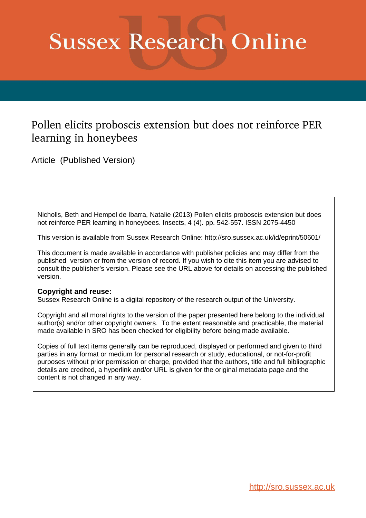# **Sussex Research Online**

# Pollen elicits proboscis extension but does not reinforce PER learning in honeybees

Article (Published Version)

Nicholls, Beth and Hempel de Ibarra, Natalie (2013) Pollen elicits proboscis extension but does not reinforce PER learning in honeybees. Insects, 4 (4). pp. 542-557. ISSN 2075-4450

This version is available from Sussex Research Online: http://sro.sussex.ac.uk/id/eprint/50601/

This document is made available in accordance with publisher policies and may differ from the published version or from the version of record. If you wish to cite this item you are advised to consult the publisher's version. Please see the URL above for details on accessing the published version.

## **Copyright and reuse:**

Sussex Research Online is a digital repository of the research output of the University.

Copyright and all moral rights to the version of the paper presented here belong to the individual author(s) and/or other copyright owners. To the extent reasonable and practicable, the material made available in SRO has been checked for eligibility before being made available.

Copies of full text items generally can be reproduced, displayed or performed and given to third parties in any format or medium for personal research or study, educational, or not-for-profit purposes without prior permission or charge, provided that the authors, title and full bibliographic details are credited, a hyperlink and/or URL is given for the original metadata page and the content is not changed in any way.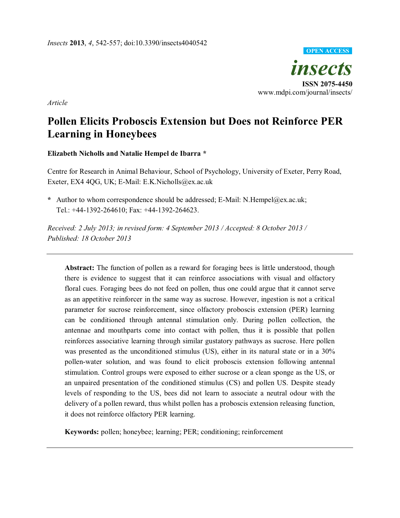

*Article* 

## **Pollen Elicits Proboscis Extension but Does not Reinforce PER Learning in Honeybees**

### **Elizabeth Nicholls and Natalie Hempel de Ibarra \***

Centre for Research in Animal Behaviour, School of Psychology, University of Exeter, Perry Road, Exeter, EX4 4QG, UK; E-Mail: E.K.Nicholls@ex.ac.uk

**\*** Author to whom correspondence should be addressed; E-Mail: N.Hempel@ex.ac.uk; Tel.: +44-1392-264610; Fax: +44-1392-264623.

*Received: 2 July 2013; in revised form: 4 September 2013 / Accepted: 8 October 2013 / Published: 18 October 2013* 

**Abstract:** The function of pollen as a reward for foraging bees is little understood, though there is evidence to suggest that it can reinforce associations with visual and olfactory floral cues. Foraging bees do not feed on pollen, thus one could argue that it cannot serve as an appetitive reinforcer in the same way as sucrose. However, ingestion is not a critical parameter for sucrose reinforcement, since olfactory proboscis extension (PER) learning can be conditioned through antennal stimulation only. During pollen collection, the antennae and mouthparts come into contact with pollen, thus it is possible that pollen reinforces associative learning through similar gustatory pathways as sucrose. Here pollen was presented as the unconditioned stimulus (US), either in its natural state or in a 30% pollen-water solution, and was found to elicit proboscis extension following antennal stimulation. Control groups were exposed to either sucrose or a clean sponge as the US, or an unpaired presentation of the conditioned stimulus (CS) and pollen US. Despite steady levels of responding to the US, bees did not learn to associate a neutral odour with the delivery of a pollen reward, thus whilst pollen has a proboscis extension releasing function, it does not reinforce olfactory PER learning.

**Keywords:** pollen; honeybee; learning; PER; conditioning; reinforcement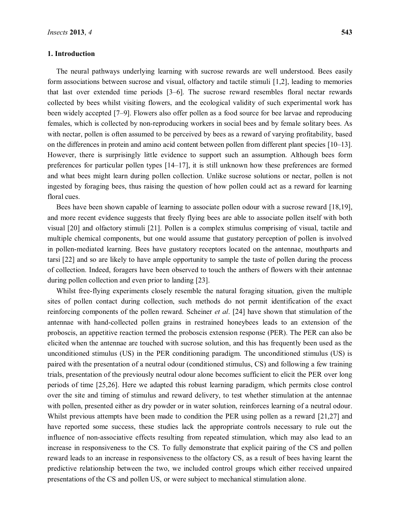#### **1. Introduction**

The neural pathways underlying learning with sucrose rewards are well understood. Bees easily form associations between sucrose and visual, olfactory and tactile stimuli [1,2], leading to memories that last over extended time periods  $[3-6]$ . The sucrose reward resembles floral nectar rewards collected by bees whilst visiting flowers, and the ecological validity of such experimental work has been widely accepted [7-9]. Flowers also offer pollen as a food source for bee larvae and reproducing females, which is collected by non-reproducing workers in social bees and by female solitary bees. As with nectar, pollen is often assumed to be perceived by bees as a reward of varying profitability, based on the differences in protein and amino acid content between pollen from different plant species [10–13]. However, there is surprisingly little evidence to support such an assumption. Although bees form preferences for particular pollen types  $[14–17]$ , it is still unknown how these preferences are formed and what bees might learn during pollen collection. Unlike sucrose solutions or nectar, pollen is not ingested by foraging bees, thus raising the question of how pollen could act as a reward for learning floral cues.

Bees have been shown capable of learning to associate pollen odour with a sucrose reward [18,19], and more recent evidence suggests that freely flying bees are able to associate pollen itself with both visual [20] and olfactory stimuli [21]. Pollen is a complex stimulus comprising of visual, tactile and multiple chemical components, but one would assume that gustatory perception of pollen is involved in pollen-mediated learning. Bees have gustatory receptors located on the antennae, mouthparts and tarsi [22] and so are likely to have ample opportunity to sample the taste of pollen during the process of collection. Indeed, foragers have been observed to touch the anthers of flowers with their antennae during pollen collection and even prior to landing [23].

Whilst free-flying experiments closely resemble the natural foraging situation, given the multiple sites of pollen contact during collection, such methods do not permit identification of the exact reinforcing components of the pollen reward. Scheiner *et al*. [24] have shown that stimulation of the antennae with hand-collected pollen grains in restrained honeybees leads to an extension of the proboscis, an appetitive reaction termed the proboscis extension response (PER). The PER can also be elicited when the antennae are touched with sucrose solution, and this has frequently been used as the unconditioned stimulus (US) in the PER conditioning paradigm. The unconditioned stimulus (US) is paired with the presentation of a neutral odour (conditioned stimulus, CS) and following a few training trials, presentation of the previously neutral odour alone becomes sufficient to elicit the PER over long periods of time [25,26]. Here we adapted this robust learning paradigm, which permits close control over the site and timing of stimulus and reward delivery, to test whether stimulation at the antennae with pollen, presented either as dry powder or in water solution, reinforces learning of a neutral odour. Whilst previous attempts have been made to condition the PER using pollen as a reward [21,27] and have reported some success, these studies lack the appropriate controls necessary to rule out the influence of non-associative effects resulting from repeated stimulation, which may also lead to an increase in responsiveness to the CS. To fully demonstrate that explicit pairing of the CS and pollen reward leads to an increase in responsiveness to the olfactory CS, as a result of bees having learnt the predictive relationship between the two, we included control groups which either received unpaired presentations of the CS and pollen US, or were subject to mechanical stimulation alone.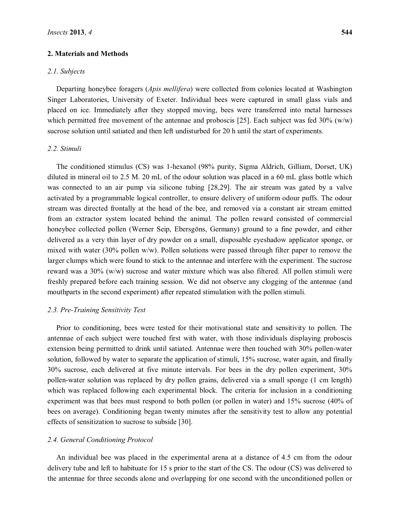#### **2. Materials and Methods**

#### *2.1. Subjects*

Departing honeybee foragers (*Apis mellifera*) were collected from colonies located at Washington Singer Laboratories, University of Exeter. Individual bees were captured in small glass vials and placed on ice. Immediately after they stopped moving, bees were transferred into metal harnesses which permitted free movement of the antennae and proboscis [25]. Each subject was fed  $30\%$  (w/w) sucrose solution until satiated and then left undisturbed for 20 h until the start of experiments.

#### *2.2. Stimuli*

The conditioned stimulus (CS) was 1-hexanol (98% purity, Sigma Aldrich, Gilliam, Dorset, UK) diluted in mineral oil to 2.5 M. 20 mL of the odour solution was placed in a 60 mL glass bottle which was connected to an air pump via silicone tubing [28,29]. The air stream was gated by a valve activated by a programmable logical controller, to ensure delivery of uniform odour puffs. The odour stream was directed frontally at the head of the bee, and removed via a constant air stream emitted from an extractor system located behind the animal. The pollen reward consisted of commercial honeybee collected pollen (Werner Seip, Ebersgöns, Germany) ground to a fine powder, and either delivered as a very thin layer of dry powder on a small, disposable eyeshadow applicator sponge, or mixed with water (30% pollen w/w). Pollen solutions were passed through filter paper to remove the larger clumps which were found to stick to the antennae and interfere with the experiment. The sucrose reward was a 30% (w/w) sucrose and water mixture which was also filtered. All pollen stimuli were freshly prepared before each training session. We did not observe any clogging of the antennae (and mouthparts in the second experiment) after repeated stimulation with the pollen stimuli.

#### *2.3. Pre-Training Sensitivity Test*

Prior to conditioning, bees were tested for their motivational state and sensitivity to pollen. The antennae of each subject were touched first with water, with those individuals displaying proboscis extension being permitted to drink until satiated. Antennae were then touched with 30% pollen-water solution, followed by water to separate the application of stimuli, 15% sucrose, water again, and finally 30% sucrose, each delivered at five minute intervals. For bees in the dry pollen experiment, 30% pollen-water solution was replaced by dry pollen grains, delivered via a small sponge (1 cm length) which was replaced following each experimental block. The criteria for inclusion in a conditioning experiment was that bees must respond to both pollen (or pollen in water) and 15% sucrose (40% of bees on average). Conditioning began twenty minutes after the sensitivity test to allow any potential effects of sensitization to sucrose to subside [30].

#### *2.4. General Conditioning Protocol*

An individual bee was placed in the experimental arena at a distance of 4.5 cm from the odour delivery tube and left to habituate for 15 s prior to the start of the CS. The odour (CS) was delivered to the antennae for three seconds alone and overlapping for one second with the unconditioned pollen or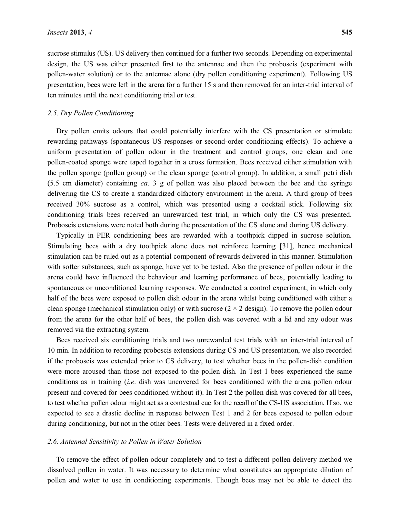sucrose stimulus (US). US delivery then continued for a further two seconds. Depending on experimental design, the US was either presented first to the antennae and then the proboscis (experiment with pollen-water solution) or to the antennae alone (dry pollen conditioning experiment). Following US presentation, bees were left in the arena for a further 15 s and then removed for an inter-trial interval of ten minutes until the next conditioning trial or test.

#### *2.5. Dry Pollen Conditioning*

Dry pollen emits odours that could potentially interfere with the CS presentation or stimulate rewarding pathways (spontaneous US responses or second-order conditioning effects). To achieve a uniform presentation of pollen odour in the treatment and control groups, one clean and one pollen-coated sponge were taped together in a cross formation. Bees received either stimulation with the pollen sponge (pollen group) or the clean sponge (control group). In addition, a small petri dish (5.5 cm diameter) containing *ca*. 3 g of pollen was also placed between the bee and the syringe delivering the CS to create a standardized olfactory environment in the arena. A third group of bees received 30% sucrose as a control, which was presented using a cocktail stick. Following six conditioning trials bees received an unrewarded test trial, in which only the CS was presented. Proboscis extensions were noted both during the presentation of the CS alone and during US delivery.

Typically in PER conditioning bees are rewarded with a toothpick dipped in sucrose solution. Stimulating bees with a dry toothpick alone does not reinforce learning [31], hence mechanical stimulation can be ruled out as a potential component of rewards delivered in this manner. Stimulation with softer substances, such as sponge, have yet to be tested. Also the presence of pollen odour in the arena could have influenced the behaviour and learning performance of bees, potentially leading to spontaneous or unconditioned learning responses. We conducted a control experiment, in which only half of the bees were exposed to pollen dish odour in the arena whilst being conditioned with either a clean sponge (mechanical stimulation only) or with sucrose  $(2 \times 2 \text{ design})$ . To remove the pollen odour from the arena for the other half of bees, the pollen dish was covered with a lid and any odour was removed via the extracting system.

Bees received six conditioning trials and two unrewarded test trials with an inter-trial interval of 10 min. In addition to recording proboscis extensions during CS and US presentation, we also recorded if the proboscis was extended prior to CS delivery, to test whether bees in the pollen-dish condition were more aroused than those not exposed to the pollen dish. In Test 1 bees experienced the same conditions as in training (*i.e*. dish was uncovered for bees conditioned with the arena pollen odour present and covered for bees conditioned without it). In Test 2 the pollen dish was covered for all bees, to test whether pollen odour might act as a contextual cue for the recall of the CS-US association. If so, we expected to see a drastic decline in response between Test 1 and 2 for bees exposed to pollen odour during conditioning, but not in the other bees. Tests were delivered in a fixed order.

#### *2.6. Antennal Sensitivity to Pollen in Water Solution*

To remove the effect of pollen odour completely and to test a different pollen delivery method we dissolved pollen in water. It was necessary to determine what constitutes an appropriate dilution of pollen and water to use in conditioning experiments. Though bees may not be able to detect the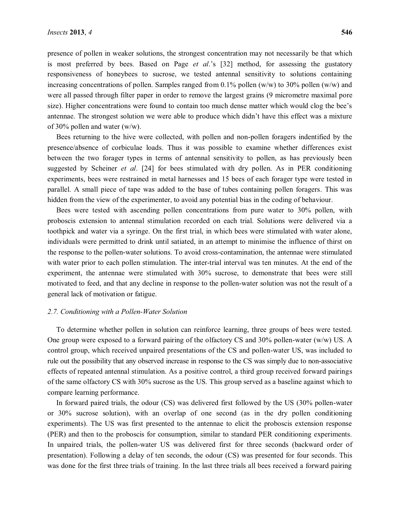presence of pollen in weaker solutions, the strongest concentration may not necessarily be that which is most preferred by bees. Based on Page *et al*, <sup>2</sup>s [32] method, for assessing the gustatory responsiveness of honeybees to sucrose, we tested antennal sensitivity to solutions containing increasing concentrations of pollen. Samples ranged from  $0.1\%$  pollen (w/w) to 30% pollen (w/w) and were all passed through filter paper in order to remove the largest grains (9 micrometre maximal pore size). Higher concentrations were found to contain too much dense matter which would clog the bee's antennae. The strongest solution we were able to produce which didn't have this effect was a mixture of 30% pollen and water (w/w).

Bees returning to the hive were collected, with pollen and non-pollen foragers indentified by the presence/absence of corbiculae loads. Thus it was possible to examine whether differences exist between the two forager types in terms of antennal sensitivity to pollen, as has previously been suggested by Scheiner *et al*. [24] for bees stimulated with dry pollen. As in PER conditioning experiments, bees were restrained in metal harnesses and 15 bees of each forager type were tested in parallel. A small piece of tape was added to the base of tubes containing pollen foragers. This was hidden from the view of the experimenter, to avoid any potential bias in the coding of behaviour.

Bees were tested with ascending pollen concentrations from pure water to 30% pollen, with proboscis extension to antennal stimulation recorded on each trial. Solutions were delivered via a toothpick and water via a syringe. On the first trial, in which bees were stimulated with water alone, individuals were permitted to drink until satiated, in an attempt to minimise the influence of thirst on the response to the pollen-water solutions. To avoid cross-contamination, the antennae were stimulated with water prior to each pollen stimulation. The inter-trial interval was ten minutes. At the end of the experiment, the antennae were stimulated with 30% sucrose, to demonstrate that bees were still motivated to feed, and that any decline in response to the pollen-water solution was not the result of a general lack of motivation or fatigue.

#### *2.7. Conditioning with a Pollen-Water Solution*

To determine whether pollen in solution can reinforce learning, three groups of bees were tested. One group were exposed to a forward pairing of the olfactory CS and 30% pollen-water (w/w) US. A control group, which received unpaired presentations of the CS and pollen-water US, was included to rule out the possibility that any observed increase in response to the CS was simply due to non-associative effects of repeated antennal stimulation. As a positive control, a third group received forward pairings of the same olfactory CS with 30% sucrose as the US. This group served as a baseline against which to compare learning performance.

In forward paired trials, the odour (CS) was delivered first followed by the US (30% pollen-water or 30% sucrose solution), with an overlap of one second (as in the dry pollen conditioning experiments). The US was first presented to the antennae to elicit the proboscis extension response (PER) and then to the proboscis for consumption, similar to standard PER conditioning experiments. In unpaired trials, the pollen-water US was delivered first for three seconds (backward order of presentation). Following a delay of ten seconds, the odour (CS) was presented for four seconds. This was done for the first three trials of training. In the last three trials all bees received a forward pairing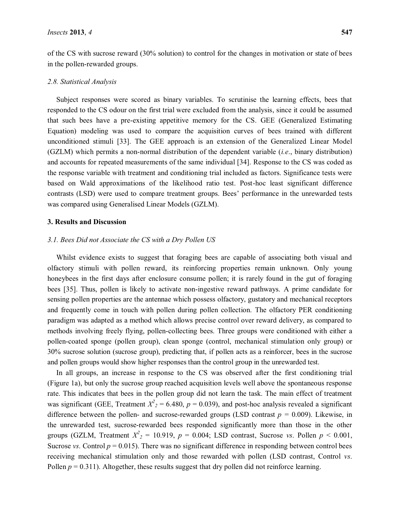of the CS with sucrose reward (30% solution) to control for the changes in motivation or state of bees in the pollen-rewarded groups.

#### *2.8. Statistical Analysis*

Subject responses were scored as binary variables. To scrutinise the learning effects, bees that responded to the CS odour on the first trial were excluded from the analysis, since it could be assumed that such bees have a pre-existing appetitive memory for the CS. GEE (Generalized Estimating Equation) modeling was used to compare the acquisition curves of bees trained with different unconditioned stimuli [33]. The GEE approach is an extension of the Generalized Linear Model (GZLM) which permits a non-normal distribution of the dependent variable (*i.e*., binary distribution) and accounts for repeated measurements of the same individual [34]. Response to the CS was coded as the response variable with treatment and conditioning trial included as factors. Significance tests were based on Wald approximations of the likelihood ratio test. Post-hoc least significant difference contrasts (LSD) were used to compare treatment groups. Bees' performance in the unrewarded tests was compared using Generalised Linear Models (GZLM).

#### **3. Results and Discussion**

#### *3.1. Bees Did not Associate the CS with a Dry Pollen US*

Whilst evidence exists to suggest that foraging bees are capable of associating both visual and olfactory stimuli with pollen reward, its reinforcing properties remain unknown. Only young honeybees in the first days after enclosure consume pollen; it is rarely found in the gut of foraging bees [35]. Thus, pollen is likely to activate non-ingestive reward pathways. A prime candidate for sensing pollen properties are the antennae which possess olfactory, gustatory and mechanical receptors and frequently come in touch with pollen during pollen collection. The olfactory PER conditioning paradigm was adapted as a method which allows precise control over reward delivery, as compared to methods involving freely flying, pollen-collecting bees. Three groups were conditioned with either a pollen-coated sponge (pollen group), clean sponge (control, mechanical stimulation only group) or 30% sucrose solution (sucrose group), predicting that, if pollen acts as a reinforcer, bees in the sucrose and pollen groups would show higher responses than the control group in the unrewarded test.

In all groups, an increase in response to the CS was observed after the first conditioning trial (Figure 1a), but only the sucrose group reached acquisition levels well above the spontaneous response rate. This indicates that bees in the pollen group did not learn the task. The main effect of treatment was significant (GEE, Treatment  $X^2$ <sub>2</sub> = 6.480,  $p$  = 0.039), and post-hoc analysis revealed a significant difference between the pollen- and sucrose-rewarded groups (LSD contrast *p =* 0.009). Likewise, in the unrewarded test, sucrose-rewarded bees responded significantly more than those in the other groups (GZLM, Treatment  $X^2$ <sub>2</sub> = 10.919,  $p$  = 0.004; LSD contrast, Sucrose *vs*. Pollen  $p$  < 0.001, Sucrose *vs*. Control  $p = 0.015$ ). There was no significant difference in responding between control bees receiving mechanical stimulation only and those rewarded with pollen (LSD contrast, Control *vs*. Pollen  $p = 0.311$ ). Altogether, these results suggest that dry pollen did not reinforce learning.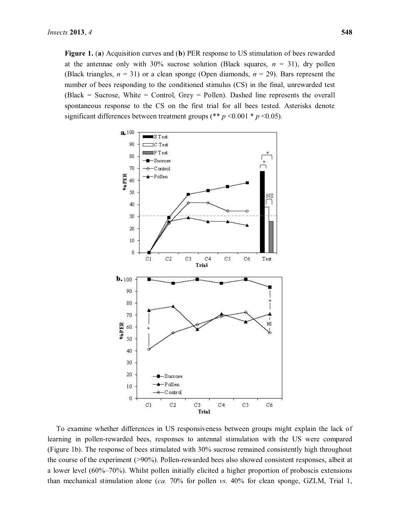**Figure 1.** (**a**) Acquisition curves and (**b**) PER response to US stimulation of bees rewarded at the antennae only with  $30\%$  sucrose solution (Black squares,  $n = 31$ ), dry pollen (Black triangles,  $n = 31$ ) or a clean sponge (Open diamonds,  $n = 29$ ). Bars represent the number of bees responding to the conditioned stimulus (CS) in the final, unrewarded test (Black = Sucrose, White = Control, Grey = Pollen). Dashed line represents the overall spontaneous response to the CS on the first trial for all bees tested. Asterisks denote significant differences between treatment groups (\*\*  $p$  <0.001 \*  $p$  <0.05).



To examine whether differences in US responsiveness between groups might explain the lack of learning in pollen-rewarded bees, responses to antennal stimulation with the US were compared (Figure 1b). The response of bees stimulated with 30% sucrose remained consistently high throughout the course of the experiment (>90%). Pollen-rewarded bees also showed consistent responses, albeit at a lower level  $(60\%–70\%)$ . Whilst pollen initially elicited a higher proportion of proboscis extensions than mechanical stimulation alone (*ca.* 70% for pollen *vs*. 40% for clean sponge, GZLM, Trial 1,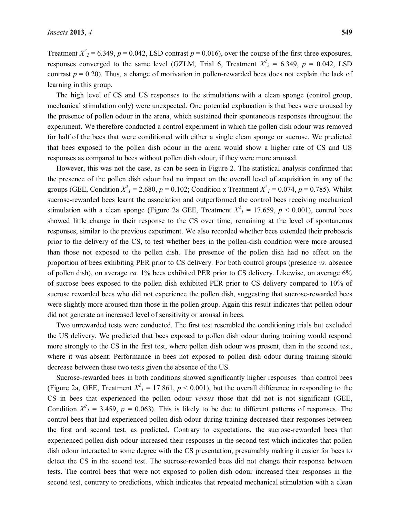Treatment  $X^2$ <sub>2</sub> = 6.349, *p* = 0.042, LSD contrast *p* = 0.016), over the course of the first three exposures, responses converged to the same level (GZLM, Trial 6, Treatment  $X^2$ <sub>2</sub> = 6.349, *p* = 0.042, LSD contrast  $p = 0.20$ ). Thus, a change of motivation in pollen-rewarded bees does not explain the lack of learning in this group.

The high level of CS and US responses to the stimulations with a clean sponge (control group, mechanical stimulation only) were unexpected. One potential explanation is that bees were aroused by the presence of pollen odour in the arena, which sustained their spontaneous responses throughout the experiment. We therefore conducted a control experiment in which the pollen dish odour was removed for half of the bees that were conditioned with either a single clean sponge or sucrose. We predicted that bees exposed to the pollen dish odour in the arena would show a higher rate of CS and US responses as compared to bees without pollen dish odour, if they were more aroused.

However, this was not the case, as can be seen in Figure 2. The statistical analysis confirmed that the presence of the pollen dish odour had no impact on the overall level of acquisition in any of the groups (GEE, Condition  $X^2$ <sub>1</sub> = 2.680,  $p$  = 0.102; Condition x Treatment  $X^2$ <sub>1</sub> = 0.074,  $p$  = 0.785). Whilst sucrose-rewarded bees learnt the association and outperformed the control bees receiving mechanical stimulation with a clean sponge (Figure 2a GEE, Treatment  $X^2$ <sub>1</sub> = 17.659,  $p$  < 0.001), control bees showed little change in their response to the CS over time, remaining at the level of spontaneous responses, similar to the previous experiment. We also recorded whether bees extended their proboscis prior to the delivery of the CS, to test whether bees in the pollen-dish condition were more aroused than those not exposed to the pollen dish. The presence of the pollen dish had no effect on the proportion of bees exhibiting PER prior to CS delivery. For both control groups (presence *vs*. absence of pollen dish), on average *ca.* 1% bees exhibited PER prior to CS delivery. Likewise, on average 6% of sucrose bees exposed to the pollen dish exhibited PER prior to CS delivery compared to 10% of sucrose rewarded bees who did not experience the pollen dish, suggesting that sucrose-rewarded bees were slightly more aroused than those in the pollen group. Again this result indicates that pollen odour did not generate an increased level of sensitivity or arousal in bees.

Two unrewarded tests were conducted. The first test resembled the conditioning trials but excluded the US delivery. We predicted that bees exposed to pollen dish odour during training would respond more strongly to the CS in the first test, where pollen dish odour was present, than in the second test, where it was absent. Performance in bees not exposed to pollen dish odour during training should decrease between these two tests given the absence of the US.

Sucrose-rewarded bees in both conditions showed significantly higher responses than control bees (Figure 2a, GEE, Treatment  $X^2$ <sub>1</sub> = 17.861,  $p$  < 0.001), but the overall difference in responding to the CS in bees that experienced the pollen odour *versus* those that did not is not significant (GEE, Condition  $X^2$ <sub>1</sub> = 3.459,  $p$  = 0.063). This is likely to be due to different patterns of responses. The control bees that had experienced pollen dish odour during training decreased their responses between the first and second test, as predicted. Contrary to expectations, the sucrose-rewarded bees that experienced pollen dish odour increased their responses in the second test which indicates that pollen dish odour interacted to some degree with the CS presentation, presumably making it easier for bees to detect the CS in the second test. The sucrose-rewarded bees did not change their response between tests. The control bees that were not exposed to pollen dish odour increased their responses in the second test, contrary to predictions, which indicates that repeated mechanical stimulation with a clean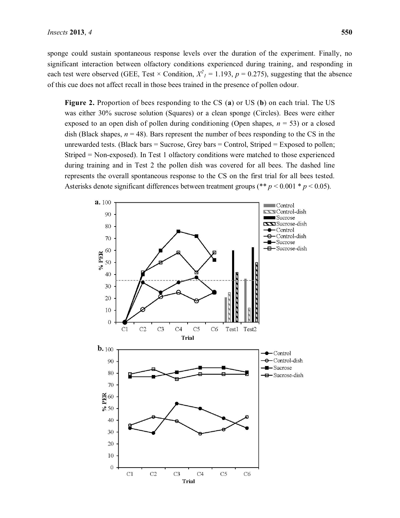sponge could sustain spontaneous response levels over the duration of the experiment. Finally, no significant interaction between olfactory conditions experienced during training, and responding in each test were observed (GEE, Test  $\times$  Condition,  $X^2$ <sub>1</sub> = 1.193,  $p$  = 0.275), suggesting that the absence of this cue does not affect recall in those bees trained in the presence of pollen odour.

**Figure 2.** Proportion of bees responding to the CS (**a**) or US (**b**) on each trial. The US was either 30% sucrose solution (Squares) or a clean sponge (Circles). Bees were either exposed to an open dish of pollen during conditioning (Open shapes,  $n = 53$ ) or a closed dish (Black shapes,  $n = 48$ ). Bars represent the number of bees responding to the CS in the unrewarded tests. (Black bars  $=$  Sucrose, Grey bars  $=$  Control, Striped  $=$  Exposed to pollen; Striped = Non-exposed). In Test 1 olfactory conditions were matched to those experienced during training and in Test 2 the pollen dish was covered for all bees. The dashed line represents the overall spontaneous response to the CS on the first trial for all bees tested. Asterisks denote significant differences between treatment groups (\*\* *p* < 0.001 \* *p* < 0.05).

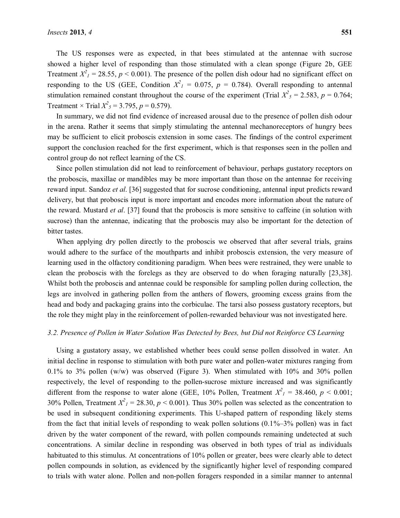The US responses were as expected, in that bees stimulated at the antennae with sucrose showed a higher level of responding than those stimulated with a clean sponge (Figure 2b, GEE Treatment  $X^2$ <sub>I</sub> = 28.55,  $p$  < 0.001). The presence of the pollen dish odour had no significant effect on responding to the US (GEE, Condition  $X^2$ <sub>1</sub> = 0.075,  $p = 0.784$ ). Overall responding to antennal stimulation remained constant throughout the course of the experiment (Trial  $X^2$ <sub>5</sub> = 2.583, *p* = 0.764; Treatment  $\times$  Trial  $X^2$ <sub>5</sub> = 3.795, *p* = 0.579).

In summary, we did not find evidence of increased arousal due to the presence of pollen dish odour in the arena. Rather it seems that simply stimulating the antennal mechanoreceptors of hungry bees may be sufficient to elicit proboscis extension in some cases. The findings of the control experiment support the conclusion reached for the first experiment, which is that responses seen in the pollen and control group do not reflect learning of the CS.

Since pollen stimulation did not lead to reinforcement of behaviour, perhaps gustatory receptors on the proboscis, maxillae or mandibles may be more important than those on the antennae for receiving reward input. Sandoz *et al*. [36] suggested that for sucrose conditioning, antennal input predicts reward delivery, but that proboscis input is more important and encodes more information about the nature of the reward. Mustard *et al*. [37] found that the proboscis is more sensitive to caffeine (in solution with sucrose) than the antennae, indicating that the proboscis may also be important for the detection of bitter tastes.

When applying dry pollen directly to the proboscis we observed that after several trials, grains would adhere to the surface of the mouthparts and inhibit proboscis extension, the very measure of learning used in the olfactory conditioning paradigm. When bees were restrained, they were unable to clean the proboscis with the forelegs as they are observed to do when foraging naturally [23,38]. Whilst both the proboscis and antennae could be responsible for sampling pollen during collection, the legs are involved in gathering pollen from the anthers of flowers, grooming excess grains from the head and body and packaging grains into the corbiculae. The tarsi also possess gustatory receptors, but the role they might play in the reinforcement of pollen-rewarded behaviour was not investigated here.

#### *3.2. Presence of Pollen in Water Solution Was Detected by Bees, but Did not Reinforce CS Learning*

Using a gustatory assay, we established whether bees could sense pollen dissolved in water. An initial decline in response to stimulation with both pure water and pollen-water mixtures ranging from 0.1% to 3% pollen  $(w/w)$  was observed (Figure 3). When stimulated with 10% and 30% pollen respectively, the level of responding to the pollen-sucrose mixture increased and was significantly different from the response to water alone (GEE, 10% Pollen, Treatment  $X^2$ <sub>1</sub> = 38.460,  $p < 0.001$ ; 30% Pollen, Treatment  $X^2$ <sub>1</sub> = 28.30,  $p$  < 0.001). Thus 30% pollen was selected as the concentration to be used in subsequent conditioning experiments. This U-shaped pattern of responding likely stems from the fact that initial levels of responding to weak pollen solutions  $(0.1\% - 3\%)$  pollen) was in fact driven by the water component of the reward, with pollen compounds remaining undetected at such concentrations. A similar decline in responding was observed in both types of trial as individuals habituated to this stimulus. At concentrations of 10% pollen or greater, bees were clearly able to detect pollen compounds in solution, as evidenced by the significantly higher level of responding compared to trials with water alone. Pollen and non-pollen foragers responded in a similar manner to antennal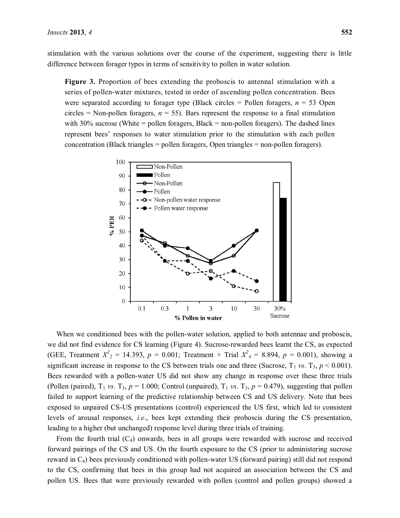stimulation with the various solutions over the course of the experiment, suggesting there is little difference between forager types in terms of sensitivity to pollen in water solution.

**Figure 3.** Proportion of bees extending the proboscis to antennal stimulation with a series of pollen-water mixtures, tested in order of ascending pollen concentration. Bees were separated according to forager type (Black circles  $=$  Pollen foragers,  $n = 53$  Open circles = Non-pollen foragers,  $n = 55$ ). Bars represent the response to a final stimulation with  $30\%$  sucrose (White = pollen foragers, Black = non-pollen foragers). The dashed lines represent bees' responses to water stimulation prior to the stimulation with each pollen concentration (Black triangles = pollen foragers, Open triangles = non-pollen foragers).



When we conditioned bees with the pollen-water solution, applied to both antennae and proboscis, we did not find evidence for CS learning (Figure 4). Sucrose-rewarded bees learnt the CS, as expected (GEE, Treatment  $X^2$ <sub>2</sub> = 14.393,  $p = 0.001$ ; Treatment × Trial  $X^2$ <sub>4</sub> = 8.894,  $p = 0.001$ ), showing a significant increase in response to the CS between trials one and three (Sucrose,  $T_1$  *vs*.  $T_3$ ,  $p \le 0.001$ ). Bees rewarded with a pollen-water US did not show any change in response over these three trials (Pollen (paired),  $T_1$  *vs*. T<sub>3</sub>,  $p = 1.000$ ; Control (unpaired),  $T_1$  *vs*. T<sub>3</sub>,  $p = 0.479$ ), suggesting that pollen failed to support learning of the predictive relationship between CS and US delivery. Note that bees exposed to unpaired CS-US presentations (control) experienced the US first, which led to consistent levels of arousal responses, *i.e*., bees kept extending their proboscis during the CS presentation, leading to a higher (but unchanged) response level during three trials of training.

From the fourth trial  $(C_4)$  onwards, bees in all groups were rewarded with sucrose and received forward pairings of the CS and US. On the fourth exposure to the CS (prior to administering sucrose reward in C4) bees previously conditioned with pollen-water US (forward pairing) still did not respond to the CS, confirming that bees in this group had not acquired an association between the CS and pollen US. Bees that were previously rewarded with pollen (control and pollen groups) showed a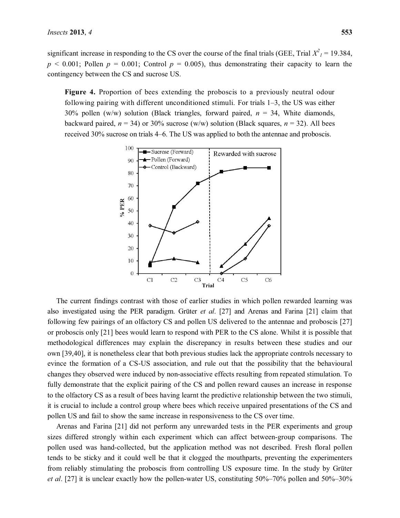significant increase in responding to the CS over the course of the final trials (GEE, Trial  $X^2$ <sub>1</sub> = 19.384,  $p \le 0.001$ ; Pollen  $p = 0.001$ ; Control  $p = 0.005$ ), thus demonstrating their capacity to learn the contingency between the CS and sucrose US.

**Figure 4.** Proportion of bees extending the proboscis to a previously neutral odour following pairing with different unconditioned stimuli. For trials  $1-3$ , the US was either 30% pollen (w/w) solution (Black triangles, forward paired, *n* = 34, White diamonds, backward paired,  $n = 34$ ) or 30% sucrose (w/w) solution (Black squares,  $n = 32$ ). All bees received 30% sucrose on trials 4–6. The US was applied to both the antennae and proboscis.



The current findings contrast with those of earlier studies in which pollen rewarded learning was also investigated using the PER paradigm. Grüter *et al*. [27] and Arenas and Farina [21] claim that following few pairings of an olfactory CS and pollen US delivered to the antennae and proboscis [27] or proboscis only [21] bees would learn to respond with PER to the CS alone. Whilst it is possible that methodological differences may explain the discrepancy in results between these studies and our own [39,40], it is nonetheless clear that both previous studies lack the appropriate controls necessary to evince the formation of a CS-US association, and rule out that the possibility that the behavioural changes they observed were induced by non-associative effects resulting from repeated stimulation. To fully demonstrate that the explicit pairing of the CS and pollen reward causes an increase in response to the olfactory CS as a result of bees having learnt the predictive relationship between the two stimuli, it is crucial to include a control group where bees which receive unpaired presentations of the CS and pollen US and fail to show the same increase in responsiveness to the CS over time.

Arenas and Farina [21] did not perform any unrewarded tests in the PER experiments and group sizes differed strongly within each experiment which can affect between-group comparisons. The pollen used was hand-collected, but the application method was not described. Fresh floral pollen tends to be sticky and it could well be that it clogged the mouthparts, preventing the experimenters from reliably stimulating the proboscis from controlling US exposure time. In the study by Grüter *et al.* [27] it is unclear exactly how the pollen-water US, constituting  $50\%-70\%$  pollen and  $50\%-30\%$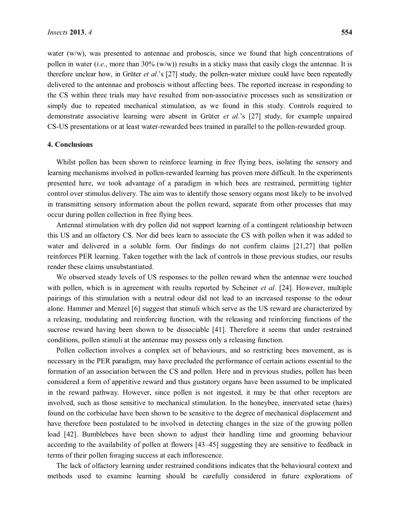water (w/w), was presented to antennae and proboscis, since we found that high concentrations of pollen in water (*i.e*., more than 30% (w/w)) results in a sticky mass that easily clogs the antennae. It is therefore unclear how, in Grüter *et al.*'s [27] study, the pollen-water mixture could have been repeatedly delivered to the antennae and proboscis without affecting bees. The reported increase in responding to the CS within three trials may have resulted from non-associative processes such as sensitization or simply due to repeated mechanical stimulation, as we found in this study. Controls required to demonstrate associative learning were absent in Grüter *et al*.'s [27] study, for example unpaired CS-US presentations or at least water-rewarded bees trained in parallel to the pollen-rewarded group.

#### **4. Conclusions**

Whilst pollen has been shown to reinforce learning in free flying bees, isolating the sensory and learning mechanisms involved in pollen-rewarded learning has proven more difficult. In the experiments presented here, we took advantage of a paradigm in which bees are restrained, permitting tighter control over stimulus delivery. The aim was to identify those sensory organs most likely to be involved in transmitting sensory information about the pollen reward, separate from other processes that may occur during pollen collection in free flying bees.

Antennal stimulation with dry pollen did not support learning of a contingent relationship between this US and an olfactory CS. Nor did bees learn to associate the CS with pollen when it was added to water and delivered in a soluble form. Our findings do not confirm claims [21,27] that pollen reinforces PER learning. Taken together with the lack of controls in those previous studies, our results render these claims unsubstantiated.

We observed steady levels of US responses to the pollen reward when the antennae were touched with pollen, which is in agreement with results reported by Scheiner *et al*. [24]. However, multiple pairings of this stimulation with a neutral odour did not lead to an increased response to the odour alone. Hammer and Menzel [6] suggest that stimuli which serve as the US reward are characterized by a releasing, modulating and reinforcing function, with the releasing and reinforcing functions of the sucrose reward having been shown to be dissociable [41]. Therefore it seems that under restrained conditions, pollen stimuli at the antennae may possess only a releasing function.

Pollen collection involves a complex set of behaviours, and so restricting bees movement, as is necessary in the PER paradigm, may have precluded the performance of certain actions essential to the formation of an association between the CS and pollen. Here and in previous studies, pollen has been considered a form of appetitive reward and thus gustatory organs have been assumed to be implicated in the reward pathway. However, since pollen is not ingested, it may be that other receptors are involved, such as those sensitive to mechanical stimulation. In the honeybee, innervated setae (hairs) found on the corbiculae have been shown to be sensitive to the degree of mechanical displacement and have therefore been postulated to be involved in detecting changes in the size of the growing pollen load [42]. Bumblebees have been shown to adjust their handling time and grooming behaviour according to the availability of pollen at flowers [43–45] suggesting they are sensitive to feedback in terms of their pollen foraging success at each inflorescence.

The lack of olfactory learning under restrained conditions indicates that the behavioural context and methods used to examine learning should be carefully considered in future explorations of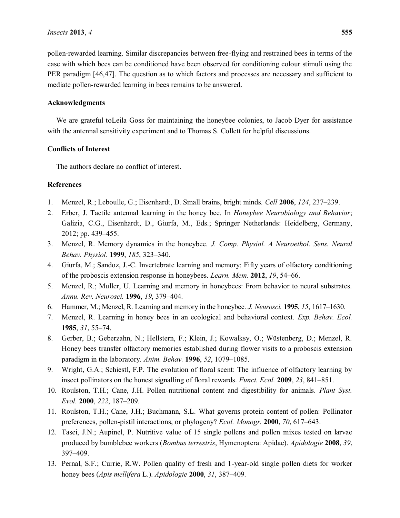pollen-rewarded learning. Similar discrepancies between free-flying and restrained bees in terms of the ease with which bees can be conditioned have been observed for conditioning colour stimuli using the PER paradigm [46,47]. The question as to which factors and processes are necessary and sufficient to mediate pollen-rewarded learning in bees remains to be answered.

#### **Acknowledgments**

We are grateful toLeila Goss for maintaining the honeybee colonies, to Jacob Dyer for assistance with the antennal sensitivity experiment and to Thomas S. Collett for helpful discussions.

#### **Conflicts of Interest**

The authors declare no conflict of interest.

#### **References**

- 1. Menzel, R.; Leboulle, G.; Eisenhardt, D. Small brains, bright minds. *Cell* **2006**, 124, 237–239.
- 2. Erber, J. Tactile antennal learning in the honey bee. In *Honeybee Neurobiology and Behavior*; Galizia, C.G., Eisenhardt, D., Giurfa, M., Eds.; Springer Netherlands: Heidelberg, Germany, 2012; pp. 439-455.
- 3. Menzel, R. Memory dynamics in the honeybee. *J. Comp. Physiol. A Neuroethol. Sens. Neural Behav. Physiol.* **1999**, *185*, 323-340.
- 4. Giurfa, M.; Sandoz, J.-C. Invertebrate learning and memory: Fifty years of olfactory conditioning of the proboscis extension response in honeybees. *Learn. Mem.* **2012**, 19, 54–66.
- 5. Menzel, R.; Muller, U. Learning and memory in honeybees: From behavior to neural substrates. *Annu. Rev. Neurosci.* **1996**, *19*, 379±404.
- 6. Hammer, M.; Menzel, R. Learning and memory in the honeybee. *J. Neurosci*. **1995**, 15, 1617–1630.
- 7. Menzel, R. Learning in honey bees in an ecological and behavioral context. *Exp. Behav. Ecol.*  **1985**, 31, 55–74.
- 8. Gerber, B.; Geberzahn, N.; Hellstern, F.; Klein, J.; Kowalksy, O.; Wüstenberg, D.; Menzel, R. Honey bees transfer olfactory memories established during flower visits to a proboscis extension paradigm in the laboratory. *Anim. Behav.* **1996**, 52, 1079-1085.
- 9. Wright, G.A.; Schiestl, F.P. The evolution of floral scent: The influence of olfactory learning by insect pollinators on the honest signalling of floral rewards. *Funct. Ecol.* **2009**, 23, 841–851.
- 10. Roulston, T.H.; Cane, J.H. Pollen nutritional content and digestibility for animals. *Plant Syst. Evol.* **2000**, 222, 187-209.
- 11. Roulston, T.H.; Cane, J.H.; Buchmann, S.L. What governs protein content of pollen: Pollinator preferences, pollen-pistil interactions, or phylogeny? *Ecol. Monogr.* **2000**, *70*, 617–643.
- 12. Tasei, J.N.; Aupinel, P. Nutritive value of 15 single pollens and pollen mixes tested on larvae produced by bumblebee workers (*Bombus terrestris*, Hymenoptera: Apidae). *Apidologie* **2008**, *39*, 397±409.
- 13. Pernal, S.F.; Currie, R.W. Pollen quality of fresh and 1-year-old single pollen diets for worker honey bees (Apis mellifera L.). *Apidologie* **2000**, 31, 387-409.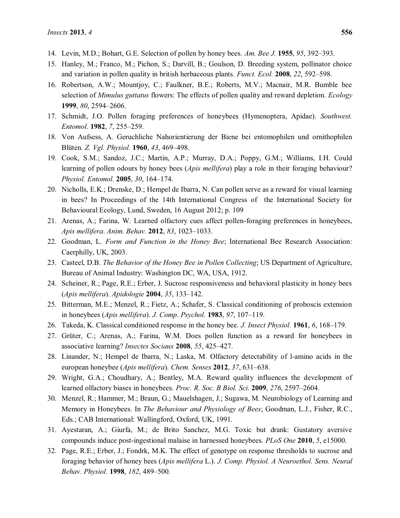- 14. Levin, M.D.; Bohart, G.E. Selection of pollen by honey bees. *Am. Bee J.* **1955**, *95*, 392–393.
- 15. Hanley, M.; Franco, M.; Pichon, S.; Darvill, B.; Goulson, D. Breeding system, pollinator choice and variation in pollen quality in british herbaceous plants. *Funct. Ecol.* **2008**, 22, 592–598.
- 16. Robertson, A.W.; Mountjoy, C.; Faulkner, B.E.; Roberts, M.V.; Macnair, M.R. Bumble bee selection of *Mimulus guttatus* flowers: The effects of pollen quality and reward depletion. *Ecology*  **1999**, *80*, 2594-2606.
- 17. Schmidt, J.O. Pollen foraging preferences of honeybees (Hymenoptera, Apidae). *Southwest. Entomol.* **1982**, 7, 255-259.
- 18. Von Aufsess, A. Geruchliche Nahorientierung der Biene bei entomophilen und ornithophilen Blüten. *Z. Vgl. Physiol.* **1960**, 43, 469-498.
- 19. Cook, S.M.; Sandoz, J.C.; Martin, A.P.; Murray, D.A.; Poppy, G.M.; Williams, I.H. Could learning of pollen odours by honey bees (*Apis mellifera*) play a role in their foraging behaviour? *Physiol. Entomol.* **2005**, 30, 164–174.
- 20. Nicholls, E.K.; Drenske, D.; Hempel de Ibarra, N. Can pollen serve as a reward for visual learning in bees? In Proceedings of the 14th International Congress of the International Society for Behavioural Ecology, Lund, Sweden, 16 August 2012; p. 109
- 21. Arenas, A.; Farina, W. Learned olfactory cues affect pollen-foraging preferences in honeybees, *Apis mellifera. Anim. Behav.* **2012**, *83*, 1023-1033.
- 22. Goodman, L. *Form and Function in the Honey Bee*; International Bee Research Association: Caerphilly, UK, 2003.
- 23. Casteel, D.B. *The Behavior of the Honey Bee in Pollen Collecting*; US Department of Agriculture, Bureau of Animal Industry: Washington DC, WA, USA, 1912.
- 24. Scheiner, R.; Page, R.E.; Erber, J. Sucrose responsiveness and behavioral plasticity in honey bees (*Apis mellifera*). *Apidologie* **2004**, *35*, 133±142.
- 25. Bitterman, M.E.; Menzel, R.; Fietz, A.; Schafer, S. Classical conditioning of proboscis extension in honeybees (*Apis mellifera*). *J. Comp. Psychol.* **1983**, 97, 107–119.
- 26. Takeda, K. Classical conditioned response in the honey bee. *J. Insect Physiol.* **1961**, 6, 168–179.
- 27. Grüter, C.; Arenas, A.; Farina, W.M. Does pollen function as a reward for honeybees in associative learning? *Insectes Sociaux* **2008**, 55, 425–427.
- 28. Linander, N.; Hempel de Ibarra, N.; Laska, M. Olfactory detectability of l-amino acids in the european honeybee (*Apis mellifera*). *Chem. Senses* 2012, 37, 631–638.
- 29. Wright, G.A.; Choudhary, A.; Bentley, M.A. Reward quality influences the development of learned olfactory biases in honeybees. *Proc. R. Soc. B Biol. Sci.* **2009**, 276, 2597–2604.
- 30. Menzel, R.; Hammer, M.; Braun, G.; Mauelshagen, J.; Sugawa, M. Neurobiology of Learning and Memory in Honeybees. In *The Behaviour and Physiology of Bees*; Goodman, L.J., Fisher, R.C., Eds.; CAB International: Wallingford, Oxford, UK, 1991.
- 31. Ayestaran, A.; Giurfa, M.; de Brito Sanchez, M.G. Toxic but drank: Gustatory aversive compounds induce post-ingestional malaise in harnessed honeybees. *PLoS One* **2010**, *5*, e15000.
- 32. Page, R.E.; Erber, J.; Fondrk, M.K. The effect of genotype on response thresholds to sucrose and foraging behavior of honey bees (*Apis mellifera* L.). *J. Comp. Physiol. A Neuroethol. Sens. Neural Behav. Physiol.* **1998**, *182*, 489-500.